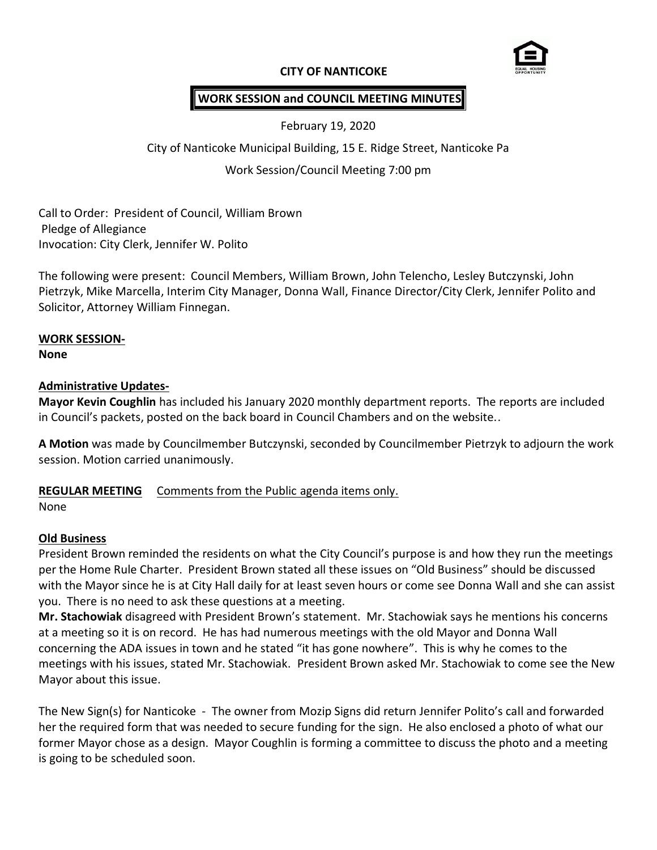## **CITY OF NANTICOKE**



# **WORK SESSION and COUNCIL MEETING MINUTES**

February 19, 2020

City of Nanticoke Municipal Building, 15 E. Ridge Street, Nanticoke Pa

Work Session/Council Meeting 7:00 pm

Call to Order: President of Council, William Brown Pledge of Allegiance Invocation: City Clerk, Jennifer W. Polito

The following were present: Council Members, William Brown, John Telencho, Lesley Butczynski, John Pietrzyk, Mike Marcella, Interim City Manager, Donna Wall, Finance Director/City Clerk, Jennifer Polito and Solicitor, Attorney William Finnegan.

### **WORK SESSION-**

**None**

### **Administrative Updates-**

**Mayor Kevin Coughlin** has included his January 2020 monthly department reports. The reports are included in Council's packets, posted on the back board in Council Chambers and on the website..

**A Motion** was made by Councilmember Butczynski, seconded by Councilmember Pietrzyk to adjourn the work session. Motion carried unanimously.

### **REGULAR MEETING** Comments from the Public agenda items only.

None

### **Old Business**

President Brown reminded the residents on what the City Council's purpose is and how they run the meetings per the Home Rule Charter. President Brown stated all these issues on "Old Business" should be discussed with the Mayor since he is at City Hall daily for at least seven hours or come see Donna Wall and she can assist you. There is no need to ask these questions at a meeting.

**Mr. Stachowiak** disagreed with President Brown's statement. Mr. Stachowiak says he mentions his concerns at a meeting so it is on record. He has had numerous meetings with the old Mayor and Donna Wall concerning the ADA issues in town and he stated "it has gone nowhere". This is why he comes to the meetings with his issues, stated Mr. Stachowiak. President Brown asked Mr. Stachowiak to come see the New Mayor about this issue.

The New Sign(s) for Nanticoke - The owner from Mozip Signs did return Jennifer Polito's call and forwarded her the required form that was needed to secure funding for the sign. He also enclosed a photo of what our former Mayor chose as a design. Mayor Coughlin is forming a committee to discuss the photo and a meeting is going to be scheduled soon.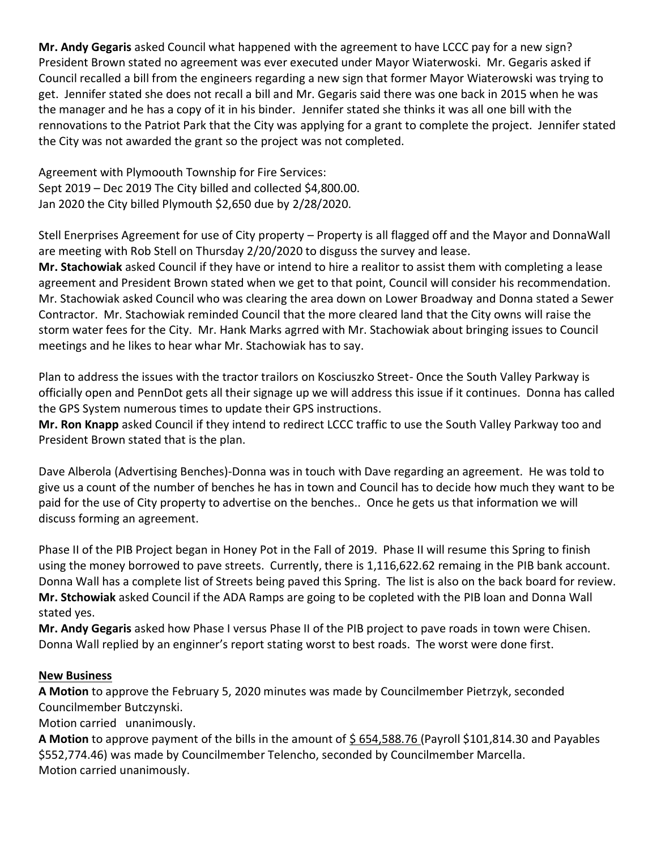**Mr. Andy Gegaris** asked Council what happened with the agreement to have LCCC pay for a new sign? President Brown stated no agreement was ever executed under Mayor Wiaterwoski. Mr. Gegaris asked if Council recalled a bill from the engineers regarding a new sign that former Mayor Wiaterowski was trying to get. Jennifer stated she does not recall a bill and Mr. Gegaris said there was one back in 2015 when he was the manager and he has a copy of it in his binder. Jennifer stated she thinks it was all one bill with the rennovations to the Patriot Park that the City was applying for a grant to complete the project. Jennifer stated the City was not awarded the grant so the project was not completed.

Agreement with Plymoouth Township for Fire Services: Sept 2019 – Dec 2019 The City billed and collected \$4,800.00. Jan 2020 the City billed Plymouth \$2,650 due by 2/28/2020.

Stell Enerprises Agreement for use of City property – Property is all flagged off and the Mayor and DonnaWall are meeting with Rob Stell on Thursday 2/20/2020 to disguss the survey and lease.

**Mr. Stachowiak** asked Council if they have or intend to hire a realitor to assist them with completing a lease agreement and President Brown stated when we get to that point, Council will consider his recommendation. Mr. Stachowiak asked Council who was clearing the area down on Lower Broadway and Donna stated a Sewer Contractor. Mr. Stachowiak reminded Council that the more cleared land that the City owns will raise the storm water fees for the City. Mr. Hank Marks agrred with Mr. Stachowiak about bringing issues to Council meetings and he likes to hear whar Mr. Stachowiak has to say.

Plan to address the issues with the tractor trailors on Kosciuszko Street- Once the South Valley Parkway is officially open and PennDot gets all their signage up we will address this issue if it continues. Donna has called the GPS System numerous times to update their GPS instructions.

**Mr. Ron Knapp** asked Council if they intend to redirect LCCC traffic to use the South Valley Parkway too and President Brown stated that is the plan.

Dave Alberola (Advertising Benches)-Donna was in touch with Dave regarding an agreement. He was told to give us a count of the number of benches he has in town and Council has to decide how much they want to be paid for the use of City property to advertise on the benches.. Once he gets us that information we will discuss forming an agreement.

Phase II of the PIB Project began in Honey Pot in the Fall of 2019. Phase II will resume this Spring to finish using the money borrowed to pave streets. Currently, there is 1,116,622.62 remaing in the PIB bank account. Donna Wall has a complete list of Streets being paved this Spring. The list is also on the back board for review. **Mr. Stchowiak** asked Council if the ADA Ramps are going to be copleted with the PIB loan and Donna Wall stated yes.

**Mr. Andy Gegaris** asked how Phase I versus Phase II of the PIB project to pave roads in town were Chisen. Donna Wall replied by an enginner's report stating worst to best roads. The worst were done first.

# **New Business**

**A Motion** to approve the February 5, 2020 minutes was made by Councilmember Pietrzyk, seconded Councilmember Butczynski.

Motion carried unanimously.

**A Motion** to approve payment of the bills in the amount of \$ 654,588.76 (Payroll \$101,814.30 and Payables \$552,774.46) was made by Councilmember Telencho, seconded by Councilmember Marcella. Motion carried unanimously.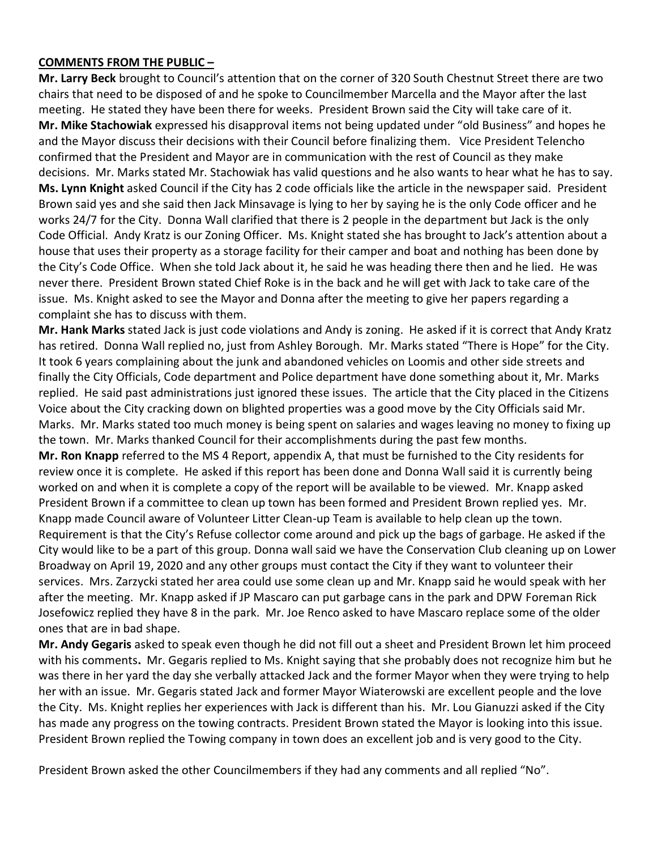#### **COMMENTS FROM THE PUBLIC –**

**Mr. Larry Beck** brought to Council's attention that on the corner of 320 South Chestnut Street there are two chairs that need to be disposed of and he spoke to Councilmember Marcella and the Mayor after the last meeting. He stated they have been there for weeks. President Brown said the City will take care of it. **Mr. Mike Stachowiak** expressed his disapproval items not being updated under "old Business" and hopes he and the Mayor discuss their decisions with their Council before finalizing them. Vice President Telencho confirmed that the President and Mayor are in communication with the rest of Council as they make decisions. Mr. Marks stated Mr. Stachowiak has valid questions and he also wants to hear what he has to say. **Ms. Lynn Knight** asked Council if the City has 2 code officials like the article in the newspaper said. President Brown said yes and she said then Jack Minsavage is lying to her by saying he is the only Code officer and he works 24/7 for the City. Donna Wall clarified that there is 2 people in the department but Jack is the only Code Official. Andy Kratz is our Zoning Officer. Ms. Knight stated she has brought to Jack's attention about a house that uses their property as a storage facility for their camper and boat and nothing has been done by the City's Code Office. When she told Jack about it, he said he was heading there then and he lied. He was never there. President Brown stated Chief Roke is in the back and he will get with Jack to take care of the issue. Ms. Knight asked to see the Mayor and Donna after the meeting to give her papers regarding a complaint she has to discuss with them.

**Mr. Hank Marks** stated Jack is just code violations and Andy is zoning. He asked if it is correct that Andy Kratz has retired. Donna Wall replied no, just from Ashley Borough. Mr. Marks stated "There is Hope" for the City. It took 6 years complaining about the junk and abandoned vehicles on Loomis and other side streets and finally the City Officials, Code department and Police department have done something about it, Mr. Marks replied. He said past administrations just ignored these issues. The article that the City placed in the Citizens Voice about the City cracking down on blighted properties was a good move by the City Officials said Mr. Marks. Mr. Marks stated too much money is being spent on salaries and wages leaving no money to fixing up the town. Mr. Marks thanked Council for their accomplishments during the past few months. **Mr. Ron Knapp** referred to the MS 4 Report, appendix A, that must be furnished to the City residents for review once it is complete. He asked if this report has been done and Donna Wall said it is currently being worked on and when it is complete a copy of the report will be available to be viewed. Mr. Knapp asked President Brown if a committee to clean up town has been formed and President Brown replied yes. Mr. Knapp made Council aware of Volunteer Litter Clean-up Team is available to help clean up the town. Requirement is that the City's Refuse collector come around and pick up the bags of garbage. He asked if the

City would like to be a part of this group. Donna wall said we have the Conservation Club cleaning up on Lower Broadway on April 19, 2020 and any other groups must contact the City if they want to volunteer their services. Mrs. Zarzycki stated her area could use some clean up and Mr. Knapp said he would speak with her after the meeting. Mr. Knapp asked if JP Mascaro can put garbage cans in the park and DPW Foreman Rick Josefowicz replied they have 8 in the park. Mr. Joe Renco asked to have Mascaro replace some of the older ones that are in bad shape.

**Mr. Andy Gegaris** asked to speak even though he did not fill out a sheet and President Brown let him proceed with his comments**.** Mr. Gegaris replied to Ms. Knight saying that she probably does not recognize him but he was there in her yard the day she verbally attacked Jack and the former Mayor when they were trying to help her with an issue. Mr. Gegaris stated Jack and former Mayor Wiaterowski are excellent people and the love the City. Ms. Knight replies her experiences with Jack is different than his. Mr. Lou Gianuzzi asked if the City has made any progress on the towing contracts. President Brown stated the Mayor is looking into this issue. President Brown replied the Towing company in town does an excellent job and is very good to the City.

President Brown asked the other Councilmembers if they had any comments and all replied "No".